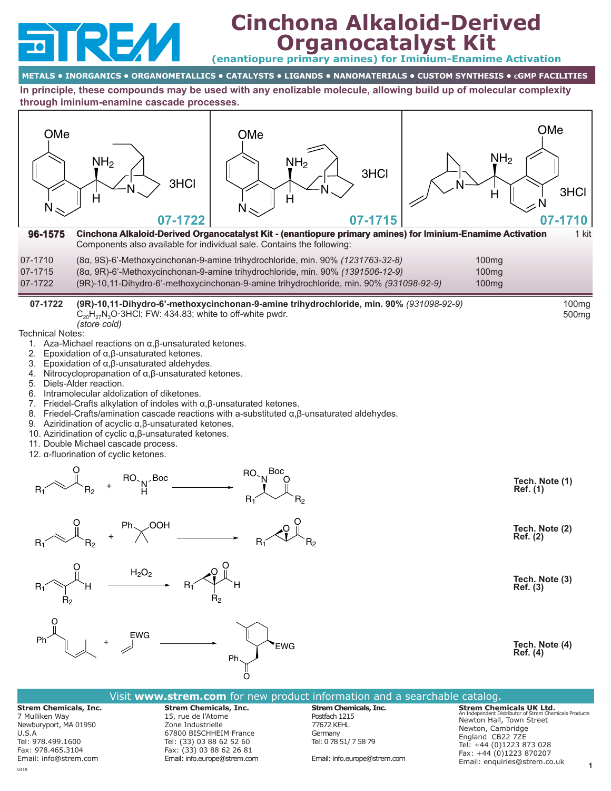

# **Cinchona Alkaloid-Derived Organocatalyst Kit**

**(enantiopure primary amines) for Iminium-Enamime Activation**

# **METALS • INORGANICS • ORGANOMETALLICS • CATALYSTS • LIGANDS • NANOMATERIALS • CUSTOM SYNTHESIS • cGMP FACILITIES**

**In principle, these compounds may be used with any enolizable molecule, allowing build up of molecular complexity through iminium-enamine cascade processes.**

| OMe<br>NH <sub>2</sub><br>3HCI<br>H<br>N<br>07-1722                                                                                                                                                                                                                                                                                                                                                                                                                                                                                                                                                                                                | OMe<br>NH <sub>2</sub><br>H<br>N                                                                                                                                                                                                                                       | 3HCI<br>07-1715 | OMe<br>NH <sub>2</sub><br>3HCI<br>$\overline{H}$<br>07-1710 |
|----------------------------------------------------------------------------------------------------------------------------------------------------------------------------------------------------------------------------------------------------------------------------------------------------------------------------------------------------------------------------------------------------------------------------------------------------------------------------------------------------------------------------------------------------------------------------------------------------------------------------------------------------|------------------------------------------------------------------------------------------------------------------------------------------------------------------------------------------------------------------------------------------------------------------------|-----------------|-------------------------------------------------------------|
| 96-1575<br>07-1710                                                                                                                                                                                                                                                                                                                                                                                                                                                                                                                                                                                                                                 | Cinchona Alkaloid-Derived Organocatalyst Kit - (enantiopure primary amines) for Iminium-Enamime Activation<br>Components also available for individual sale. Contains the following:<br>(8α, 9S)-6'-Methoxycinchonan-9-amine trihydrochloride, min. 90% (1231763-32-8) |                 | 1 kit<br>100 <sub>mg</sub>                                  |
| 07-1715<br>07-1722                                                                                                                                                                                                                                                                                                                                                                                                                                                                                                                                                                                                                                 | (8α, 9R)-6'-Methoxycinchonan-9-amine trihydrochloride, min. 90% (1391506-12-9)<br>(9R)-10,11-Dihydro-6'-methoxycinchonan-9-amine trihydrochloride, min. 90% (931098-92-9)                                                                                              |                 | 100mg<br>100mg                                              |
| 07-1722<br>$C_{20}H_{27}N_3O \cdot 3HCl$ ; FW: 434.83; white to off-white pwdr.<br>(store cold)<br><b>Technical Notes:</b><br>1. Aza-Michael reactions on $\alpha, \beta$ -unsaturated ketones.<br>Epoxidation of $\alpha$ , $\beta$ -unsaturated ketones.<br>2.                                                                                                                                                                                                                                                                                                                                                                                   | (9R)-10,11-Dihydro-6'-methoxycinchonan-9-amine trihydrochloride, min. 90% (931098-92-9)                                                                                                                                                                                |                 | 100 <sub>mg</sub><br>500 <sub>mg</sub>                      |
| 3. Epoxidation of $\alpha$ , $\beta$ -unsaturated aldehydes.<br>4. Nitrocyclopropanation of $\alpha, \beta$ -unsaturated ketones.<br>5. Diels-Alder reaction.<br>6. Intramolecular aldolization of diketones.<br>7. Friedel-Crafts alkylation of indoles with $\alpha, \beta$ -unsaturated ketones.<br>8. Friedel-Crafts/amination cascade reactions with a-substituted $\alpha$ , $\beta$ -unsaturated aldehydes.<br>9. Aziridination of acyclic $\alpha$ , $\beta$ -unsaturated ketones.<br>10. Aziridination of cyclic $\alpha$ , $\beta$ -unsaturated ketones.<br>11. Double Michael cascade process.<br>12. α-fluorination of cyclic ketones. |                                                                                                                                                                                                                                                                        |                 |                                                             |
|                                                                                                                                                                                                                                                                                                                                                                                                                                                                                                                                                                                                                                                    | Boc<br>RO.<br>$R_1$                                                                                                                                                                                                                                                    | R2              | Tech. Note (1)<br>Ref. (1)                                  |
| ∕OOH                                                                                                                                                                                                                                                                                                                                                                                                                                                                                                                                                                                                                                               | $R_1$                                                                                                                                                                                                                                                                  | R2              | Tech. Note (2)<br><b>Ref.</b> (2)                           |
| H <sub>2</sub> O <sub>2</sub><br>$R_1$<br>н<br>$R_{2}$                                                                                                                                                                                                                                                                                                                                                                                                                                                                                                                                                                                             | R1<br>R <sub>2</sub>                                                                                                                                                                                                                                                   |                 | Tech. Note (3)<br>Ref. (3)                                  |
| <b>EWG</b><br>Ph                                                                                                                                                                                                                                                                                                                                                                                                                                                                                                                                                                                                                                   | <b>EWG</b><br>Ph                                                                                                                                                                                                                                                       |                 | Tech. Note (4)<br>Ref. (4)                                  |

| Visit www.strem.com for new product information and a searchable catalog.                                                                           |                                                                                                                                                                                           |                                                                                                                                 |                                                                                                                                                                                                                      |  |  |  |  |
|-----------------------------------------------------------------------------------------------------------------------------------------------------|-------------------------------------------------------------------------------------------------------------------------------------------------------------------------------------------|---------------------------------------------------------------------------------------------------------------------------------|----------------------------------------------------------------------------------------------------------------------------------------------------------------------------------------------------------------------|--|--|--|--|
| <b>Strem Chemicals, Inc.</b><br>7 Mulliken Way<br>Newburyport, MA 01950<br>U.S.A<br>Tel: 978.499.1600<br>Fax: 978.465.3104<br>Email: info@strem.com | <b>Strem Chemicals, Inc.</b><br>15, rue de l'Atome<br>Zone Industrielle<br>67800 BISCHHEIM France<br>Tel: (33) 03 88 62 52 60<br>Fax: (33) 03 88 62 26 81<br>Email: info.europe@strem.com | <b>Strem Chemicals, Inc.</b><br>Postfach 1215<br>77672 KEHL<br>Germany<br>Tel: 0 78 51/ 7 58 79<br>Email: info.europe@strem.com | <b>Strem Chemicals UK Ltd.</b><br>An Independent Distributor of Strem Chemicals Products<br>Newton Hall, Town Street<br>Newton, Cambridge<br>England CB22 7ZE<br>Tel: +44 (0)1223 873 028<br>Fax: +44 (0)1223 870207 |  |  |  |  |
|                                                                                                                                                     |                                                                                                                                                                                           |                                                                                                                                 | Email: enguiries@strem.co.uk                                                                                                                                                                                         |  |  |  |  |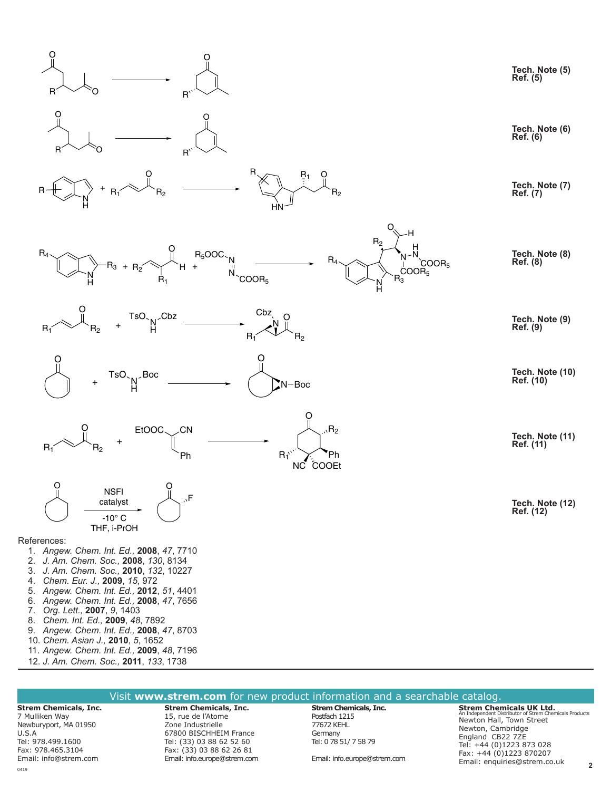

#### **Strem Chemicals, Inc. Strem Chemicals, Inc.**  15, rue de l'Atome Zone Industrielle **Strem Chemicals, Inc.** Postfach 1215 77672 KEHL Newton Hall, Town Street

7 Mulliken Way Newburyport, MA 01950 U.S.A Tel: 978.499.1600 Fax: 978.465.3104 Email: info@strem.com 67800 BISCHHEIM France Tel: (33) 03 88 62 52 60 Fax: (33) 03 88 62 26 81 Email: info.europe@strem.com

Germany Tel: 0 78 51/ 7 58 79

Email: info.europe@strem.com

**Strem Chemicals UK Ltd.** An Independent Distributor of Strem Chemicals Products Newton, Cambridge England CB22 7ZE Tel: +44 (0)1223 873 028 Fax: +44 (0)1223 870207 Email: enquiries@strem.co.uk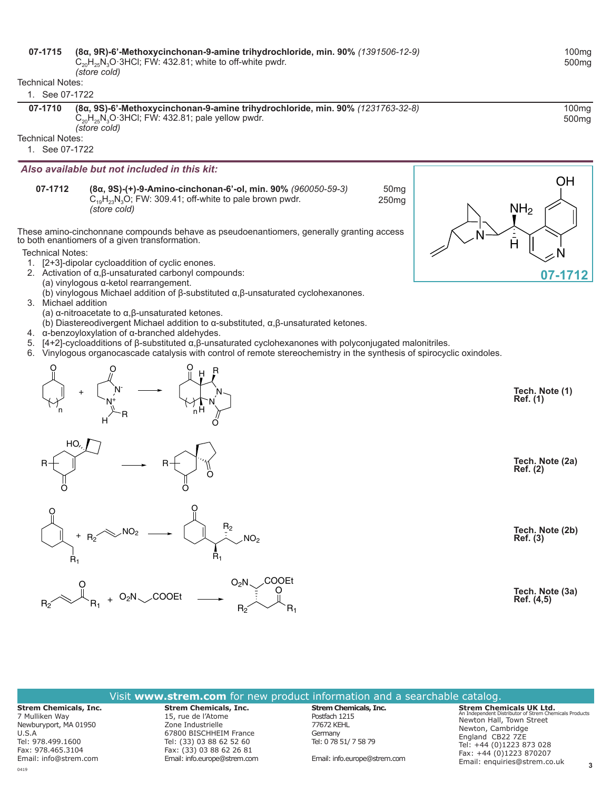### **[07-1715](http://www.strem.com/catalog/v/07-1715/)**07-1715 **(8α, 9R)-6'-Methoxycinchonan-9-amine trihydrochloride, min. 90%** *(1391506‑12‑9)*

 $C_{20}H_{25}N_3O \cdot 3HCl$ ; FW: 432.81; white to off-white pwdr.

*(store cold)* Technical Notes:

#### 1. See 07-1722

|  |  | 55 U F I I ZZ |  |
|--|--|---------------|--|
|  |  |               |  |

Technical Notes:

1. See 07-1722

*Also available but not included in this kit:*

**[07-1712](http://www.strem.com/catalog/v/07-1712/)**07-1712 **(8α, 9S)-(+)-9-Amino-cinchonan-6'-ol, min. 90%** *(960050‑59‑3)*  $C_{19}H_{23}N_3O$ ; FW: 309.41; off-white to pale brown pwdr. *(store cold)* 50mg 250mg

These amino-cinchonnane compounds behave as pseudoenantiomers, generally granting access to both enantiomers of a given transformation.

Technical Notes:

- 1. [2+3]-dipolar cycloaddition of cyclic enones.
- 2. Activation of α,β-unsaturated carbonyl compounds:
	- (a) vinylogous α-ketol rearrangement.
	- (b) vinylogous Michael addition of β-substituted α,β-unsaturated cyclohexanones.
- 3. Michael addition
	- (a) α-nitroacetate to α,β-unsaturated ketones.
	- (b) Diastereodivergent Michael addition to α-substituted, α,β-unsaturated ketones.
- 4. α-benzoyloxylation of α-branched aldehydes.
- 5. [4+2]-cycloadditions of β-substituted α,β-unsaturated cyclohexanones with polyconjugated malonitriles.
- 6. Vinylogous organocascade catalysis with control of remote stereochemistry in the synthesis of spirocyclic oxindoles.









 $NH<sub>2</sub>$ N OH N H **[07-1712](https://www.strem.com/catalog/v/07-1712/)**

> **Tech. Note (1) Ref. (1)**

**Tech. Note (2a) Ref. (2)**

R2 **Tech. Note (2b) Ref. (3)**

> **Tech. Note (3a) Ref. (4,5)**



100mg 500mg

U.S.A

7 Mulliken Way

Tel: 978.499.1600 Fax: 978.465.3104